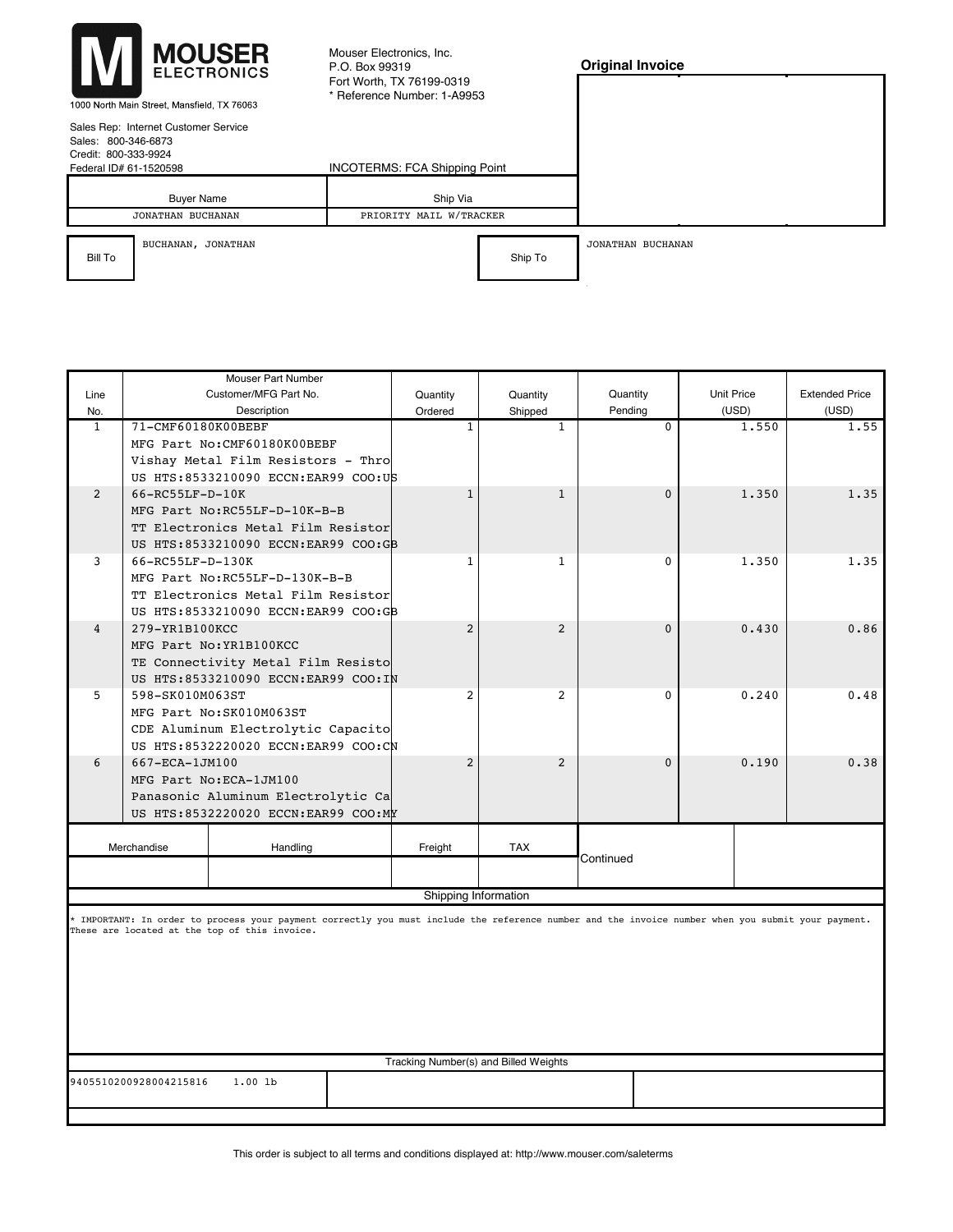Mouser Electronics, Inc. P.O. Box 99319 Fort Worth, TX 76199-0319 \* Reference Number: 1-A9953

## **Original Invoice**

1000 North Main Street, Mansfield, TX 76063 Sales Rep: Internet Customer Service

| Sales: 800-346-6873<br>Credit: 800-333-9924<br>Federal ID# 61-1520598 | Sales Rep: Internet Customer Service   | <b>INCOTERMS: FCA Shipping Point</b> |         |                   |
|-----------------------------------------------------------------------|----------------------------------------|--------------------------------------|---------|-------------------|
|                                                                       | <b>Buver Name</b><br>JONATHAN BUCHANAN | Ship Via<br>PRIORITY MAIL W/TRACKER  |         |                   |
| Bill To                                                               | BUCHANAN, JONATHAN                     |                                      | Ship To | JONATHAN BUCHANAN |

KINGSPORT, TENNESSEE 37663 KINGSPORT, TENNESSEE 37663

UNITED STATES UNITED STATES UNITED STATES UNITED STATES UNITED STATES UNITED STATES UNITED STATES UNITED STATES

| <b>Mouser Part Number</b> |                                                                                                                                                                                                     |                                               |                      |                |                   |                       |       |  |  |
|---------------------------|-----------------------------------------------------------------------------------------------------------------------------------------------------------------------------------------------------|-----------------------------------------------|----------------------|----------------|-------------------|-----------------------|-------|--|--|
| Line                      |                                                                                                                                                                                                     | Customer/MFG Part No.<br>Quantity<br>Quantity |                      | Quantity       | <b>Unit Price</b> | <b>Extended Price</b> |       |  |  |
| No.                       |                                                                                                                                                                                                     | Description                                   | Ordered              | Shipped        | Pending           | (USD)                 | (USD) |  |  |
| $\mathbf{1}$              | 71-CMF60180K00BEBF                                                                                                                                                                                  |                                               | -1                   | $\mathbf{1}$   | $\Omega$          | 1.550                 | 1.55  |  |  |
|                           |                                                                                                                                                                                                     | MFG Part No: CMF60180K00BEBF                  |                      |                |                   |                       |       |  |  |
|                           |                                                                                                                                                                                                     | Vishay Metal Film Resistors - Thro            |                      |                |                   |                       |       |  |  |
|                           |                                                                                                                                                                                                     | US HTS:8533210090 ECCN:EAR99 COO:US           |                      |                |                   |                       |       |  |  |
| 2                         | 66-RC55LF-D-10K                                                                                                                                                                                     |                                               | 1                    | $\mathbf{1}$   | $\Omega$          | 1.350                 | 1.35  |  |  |
|                           | MFG Part No:RC55LF-D-10K-B-B                                                                                                                                                                        |                                               |                      |                |                   |                       |       |  |  |
|                           | TT Electronics Metal Film Resistor                                                                                                                                                                  |                                               |                      |                |                   |                       |       |  |  |
|                           |                                                                                                                                                                                                     | US HTS:8533210090 ECCN:EAR99 COO:GB           |                      |                |                   |                       |       |  |  |
| 3                         | 66-RC55LF-D-130K                                                                                                                                                                                    |                                               | 1                    | $\mathbf{1}$   | $\Omega$          | 1,350                 | 1.35  |  |  |
|                           |                                                                                                                                                                                                     | MFG Part No:RC55LF-D-130K-B-B                 |                      |                |                   |                       |       |  |  |
|                           |                                                                                                                                                                                                     | TT Electronics Metal Film Resistor            |                      |                |                   |                       |       |  |  |
|                           |                                                                                                                                                                                                     | US HTS:8533210090 ECCN:EAR99 COO:GB           |                      |                |                   |                       |       |  |  |
| $\overline{4}$            | 279-YR1B100KCC                                                                                                                                                                                      |                                               | $\overline{2}$       | $\overline{2}$ | $\Omega$          | 0.430                 | 0.86  |  |  |
| MFG Part No: YR1B100KCC   |                                                                                                                                                                                                     |                                               |                      |                |                   |                       |       |  |  |
|                           |                                                                                                                                                                                                     | TE Connectivity Metal Film Resisto            |                      |                |                   |                       |       |  |  |
|                           | US HTS:8533210090 ECCN:EAR99 COO:IN                                                                                                                                                                 |                                               |                      |                |                   |                       |       |  |  |
| 5                         | 598-SK010M063ST                                                                                                                                                                                     |                                               | 2                    | 2              | $\Omega$          | 0.240                 | 0.48  |  |  |
|                           | MFG Part No: SK010M063ST                                                                                                                                                                            |                                               |                      |                |                   |                       |       |  |  |
|                           |                                                                                                                                                                                                     | CDE Aluminum Electrolytic Capacito            |                      |                |                   |                       |       |  |  |
|                           | US HTS:8532220020 ECCN:EAR99 COO:CN                                                                                                                                                                 |                                               |                      |                |                   |                       |       |  |  |
| 6                         | 667-ECA-1JM100                                                                                                                                                                                      |                                               | 2                    | $\overline{2}$ | $\Omega$          | 0.190                 | 0.38  |  |  |
|                           | MFG Part No: ECA-1JM100<br>Panasonic Aluminum Electrolytic Ca                                                                                                                                       |                                               |                      |                |                   |                       |       |  |  |
|                           |                                                                                                                                                                                                     |                                               |                      |                |                   |                       |       |  |  |
|                           |                                                                                                                                                                                                     | US HTS:8532220020 ECCN:EAR99 COO:MY           |                      |                |                   |                       |       |  |  |
|                           |                                                                                                                                                                                                     |                                               |                      |                |                   |                       |       |  |  |
| Merchandise<br>Handling   |                                                                                                                                                                                                     | Freight                                       | <b>TAX</b>           | Continued      |                   |                       |       |  |  |
|                           |                                                                                                                                                                                                     |                                               |                      |                |                   |                       |       |  |  |
|                           |                                                                                                                                                                                                     |                                               | Shipping Information |                |                   |                       |       |  |  |
|                           |                                                                                                                                                                                                     |                                               |                      |                |                   |                       |       |  |  |
|                           | * IMPORTANT: In order to process your payment correctly you must include the reference number and the invoice number when you submit your payment.<br>These are located at the top of this invoice. |                                               |                      |                |                   |                       |       |  |  |

Tracking Number(s) and Billed Weights

9405510200928004215816 1.00 lb

This order is subject to all terms and conditions displayed at: http://www.mouser.com/saleterms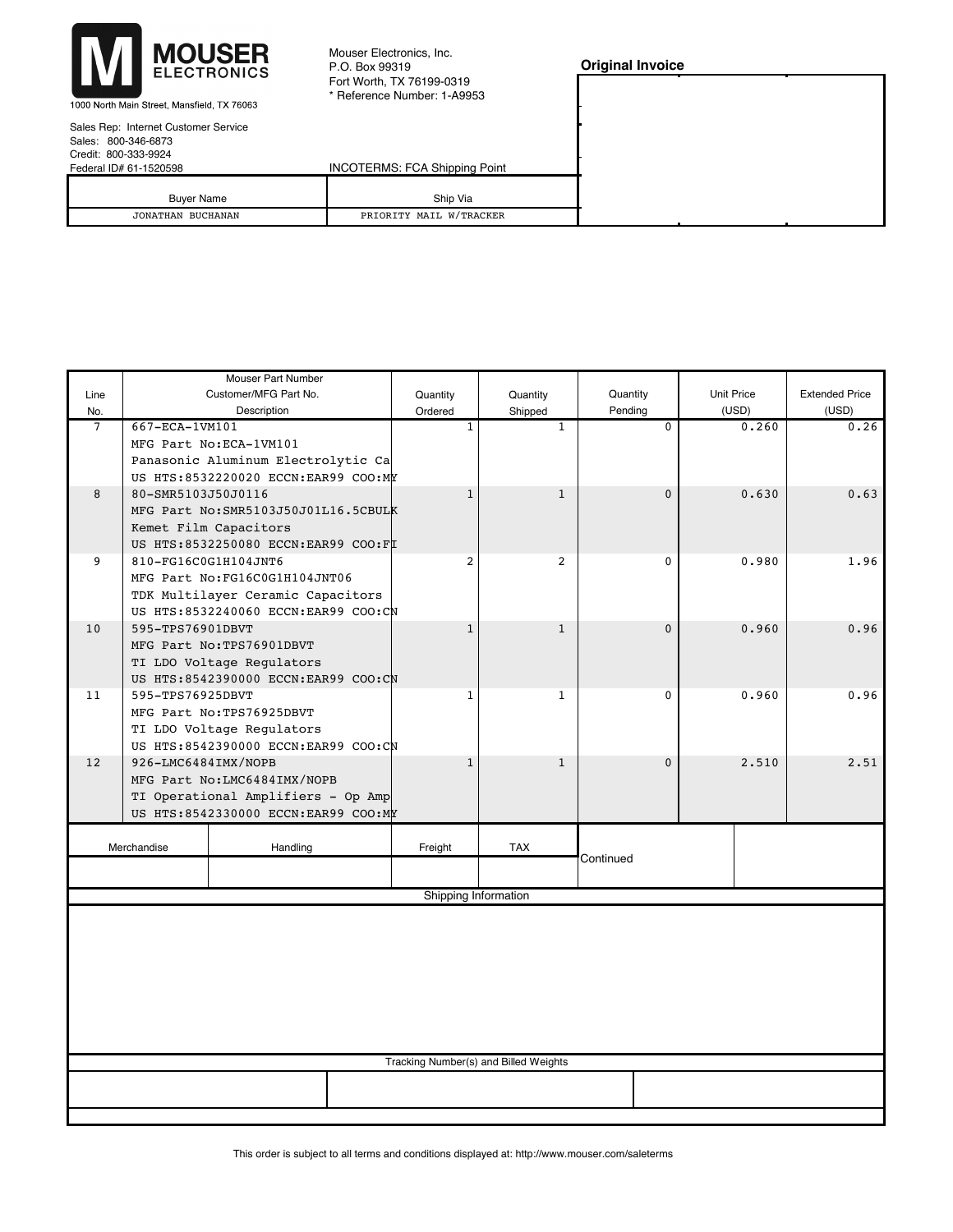

Mouser Electronics, Inc. P.O. Box 99319 Fort Worth, TX 76199-0319 \* Reference Number: 1-A9953

| <b>Original Invoice</b> |
|-------------------------|
|                         |

1000 North Main Street, Mansfield, TX 76063

| Sales Rep: Internet Customer Service                                                                                                                                                                                                                                                                                                                                                                                                                                                       |
|--------------------------------------------------------------------------------------------------------------------------------------------------------------------------------------------------------------------------------------------------------------------------------------------------------------------------------------------------------------------------------------------------------------------------------------------------------------------------------------------|
| Sales: 800-346-6873                                                                                                                                                                                                                                                                                                                                                                                                                                                                        |
| Credit: 800-333-9924                                                                                                                                                                                                                                                                                                                                                                                                                                                                       |
| $\blacksquare$ $\blacksquare$ $\blacksquare$ $\blacksquare$ $\blacksquare$ $\blacksquare$ $\blacksquare$ $\blacksquare$ $\blacksquare$ $\blacksquare$ $\blacksquare$ $\blacksquare$ $\blacksquare$ $\blacksquare$ $\blacksquare$ $\blacksquare$ $\blacksquare$ $\blacksquare$ $\blacksquare$ $\blacksquare$ $\blacksquare$ $\blacksquare$ $\blacksquare$ $\blacksquare$ $\blacksquare$ $\blacksquare$ $\blacksquare$ $\blacksquare$ $\blacksquare$ $\blacksquare$ $\blacksquare$ $\blacks$ |

| <b>INCOTERMS: FCA Shipping Point</b> |  |  |
|--------------------------------------|--|--|
|                                      |  |  |
| Ship Via                             |  |  |
| PRIORITY MAIL W/TRACKER              |  |  |
|                                      |  |  |

|                                                                                       | Mouser Part Number                                                               |                                      |                |                                       |          |            |                       |  |  |  |  |
|---------------------------------------------------------------------------------------|----------------------------------------------------------------------------------|--------------------------------------|----------------|---------------------------------------|----------|------------|-----------------------|--|--|--|--|
| Line                                                                                  |                                                                                  | Customer/MFG Part No.                | Quantity       | Quantity                              | Quantity | Unit Price | <b>Extended Price</b> |  |  |  |  |
| No.                                                                                   |                                                                                  | Description                          | Ordered        | Shipped                               | Pending  | (USD)      | (USD)                 |  |  |  |  |
| $\overline{7}$<br>667-ECA-1VM101<br>$\mathbf{1}$<br>$\mathbf{1}$<br>$\Omega$<br>0.260 |                                                                                  |                                      |                |                                       |          |            |                       |  |  |  |  |
|                                                                                       |                                                                                  | MFG Part No:ECA-1VM101               |                |                                       |          |            |                       |  |  |  |  |
|                                                                                       |                                                                                  | Panasonic Aluminum Electrolytic Ca   |                |                                       |          |            |                       |  |  |  |  |
|                                                                                       |                                                                                  | US HTS:8532220020 ECCN:EAR99 COO:MY  |                |                                       |          |            |                       |  |  |  |  |
| 8                                                                                     | 80-SMR5103J50J0116                                                               |                                      | $\mathbf{1}$   | $\mathbf{1}$                          | $\Omega$ | 0.630      | 0.63                  |  |  |  |  |
|                                                                                       |                                                                                  | MFG Part No: SMR5103J50J01L16.5CBULK |                |                                       |          |            |                       |  |  |  |  |
|                                                                                       |                                                                                  | Kemet Film Capacitors                |                |                                       |          |            |                       |  |  |  |  |
| US HTS:8532250080 ECCN:EAR99 COO:FI                                                   |                                                                                  |                                      |                |                                       |          |            |                       |  |  |  |  |
| 9                                                                                     | 810-FG16C0G1H104JNT6                                                             |                                      | $\overline{2}$ | $\overline{2}$                        | $\Omega$ | 0.980      | 1.96                  |  |  |  |  |
|                                                                                       |                                                                                  | MFG Part No:FG16C0G1H104JNT06        |                |                                       |          |            |                       |  |  |  |  |
|                                                                                       |                                                                                  | TDK Multilayer Ceramic Capacitors    |                |                                       |          |            |                       |  |  |  |  |
|                                                                                       |                                                                                  | US HTS:8532240060 ECCN:EAR99 COO:CN  |                |                                       |          |            |                       |  |  |  |  |
| 10                                                                                    | 595-TPS76901DBVT                                                                 |                                      | $\mathbf{1}$   | $\mathbf{1}$                          | $\Omega$ | 0.960      | 0.96                  |  |  |  |  |
|                                                                                       |                                                                                  | MFG Part No: TPS76901DBVT            |                |                                       |          |            |                       |  |  |  |  |
|                                                                                       |                                                                                  | TI LDO Voltage Regulators            |                |                                       |          |            |                       |  |  |  |  |
|                                                                                       |                                                                                  | US HTS:8542390000 ECCN:EAR99 COO:CN  |                |                                       |          |            |                       |  |  |  |  |
| 11                                                                                    | 595-TPS76925DBVT                                                                 |                                      | $\mathbf{1}$   | $\mathbf{1}$                          | $\Omega$ | 0.960      | 0.96                  |  |  |  |  |
| MFG Part No: TPS76925DBVT                                                             |                                                                                  |                                      |                |                                       |          |            |                       |  |  |  |  |
|                                                                                       | TI LDO Voltage Regulators                                                        |                                      |                |                                       |          |            |                       |  |  |  |  |
| US HTS:8542390000 ECCN:EAR99 COO:CN                                                   |                                                                                  |                                      |                |                                       |          |            |                       |  |  |  |  |
| 12                                                                                    | 926-LMC6484IMX/NOPB<br>$\mathbf{1}$<br>$\mathbf{1}$<br>$\Omega$<br>2.510<br>2.51 |                                      |                |                                       |          |            |                       |  |  |  |  |
|                                                                                       | MFG Part No:LMC6484IMX/NOPB                                                      |                                      |                |                                       |          |            |                       |  |  |  |  |
|                                                                                       | TI Operational Amplifiers - Op Amp                                               |                                      |                |                                       |          |            |                       |  |  |  |  |
|                                                                                       | US HTS:8542330000 ECCN:EAR99 COO:MY                                              |                                      |                |                                       |          |            |                       |  |  |  |  |
|                                                                                       |                                                                                  |                                      |                |                                       |          |            |                       |  |  |  |  |
|                                                                                       | Handling<br>Merchandise<br>TAX<br>Freight<br>Continued                           |                                      |                |                                       |          |            |                       |  |  |  |  |
|                                                                                       |                                                                                  |                                      |                |                                       |          |            |                       |  |  |  |  |
| Shipping Information                                                                  |                                                                                  |                                      |                |                                       |          |            |                       |  |  |  |  |
|                                                                                       |                                                                                  |                                      |                |                                       |          |            |                       |  |  |  |  |
|                                                                                       |                                                                                  |                                      |                |                                       |          |            |                       |  |  |  |  |
|                                                                                       |                                                                                  |                                      |                |                                       |          |            |                       |  |  |  |  |
|                                                                                       |                                                                                  |                                      |                |                                       |          |            |                       |  |  |  |  |
|                                                                                       |                                                                                  |                                      |                |                                       |          |            |                       |  |  |  |  |
|                                                                                       |                                                                                  |                                      |                |                                       |          |            |                       |  |  |  |  |
|                                                                                       |                                                                                  |                                      |                |                                       |          |            |                       |  |  |  |  |
|                                                                                       |                                                                                  |                                      |                |                                       |          |            |                       |  |  |  |  |
|                                                                                       |                                                                                  |                                      |                |                                       |          |            |                       |  |  |  |  |
|                                                                                       |                                                                                  |                                      |                | Tracking Number(s) and Billed Weights |          |            |                       |  |  |  |  |
|                                                                                       |                                                                                  |                                      |                |                                       |          |            |                       |  |  |  |  |
|                                                                                       |                                                                                  |                                      |                |                                       |          |            |                       |  |  |  |  |